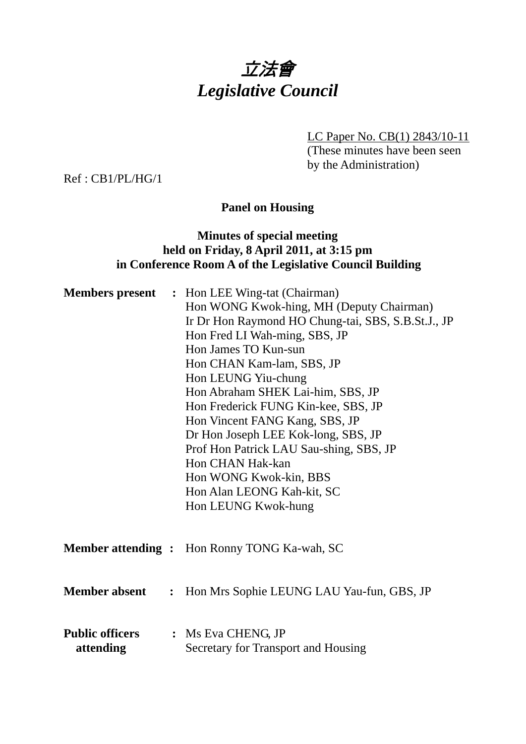# 立法會 *Legislative Council*

LC Paper No. CB(1) 2843/10-11

(These minutes have been seen by the Administration)

Ref : CB1/PL/HG/1

## **Panel on Housing**

## **Minutes of special meeting held on Friday, 8 April 2011, at 3:15 pm in Conference Room A of the Legislative Council Building**

|                                     |                | <b>Members present</b> : Hon LEE Wing-tat (Chairman)<br>Hon WONG Kwok-hing, MH (Deputy Chairman)<br>Ir Dr Hon Raymond HO Chung-tai, SBS, S.B.St.J., JP<br>Hon Fred LI Wah-ming, SBS, JP<br>Hon James TO Kun-sun<br>Hon CHAN Kam-lam, SBS, JP<br>Hon LEUNG Yiu-chung<br>Hon Abraham SHEK Lai-him, SBS, JP<br>Hon Frederick FUNG Kin-kee, SBS, JP<br>Hon Vincent FANG Kang, SBS, JP<br>Dr Hon Joseph LEE Kok-long, SBS, JP<br>Prof Hon Patrick LAU Sau-shing, SBS, JP<br><b>Hon CHAN Hak-kan</b><br>Hon WONG Kwok-kin, BBS<br>Hon Alan LEONG Kah-kit, SC<br>Hon LEUNG Kwok-hung |
|-------------------------------------|----------------|-------------------------------------------------------------------------------------------------------------------------------------------------------------------------------------------------------------------------------------------------------------------------------------------------------------------------------------------------------------------------------------------------------------------------------------------------------------------------------------------------------------------------------------------------------------------------------|
|                                     |                | <b>Member attending :</b> Hon Ronny TONG Ka-wah, SC                                                                                                                                                                                                                                                                                                                                                                                                                                                                                                                           |
| <b>Member absent</b>                | $\ddot{\cdot}$ | Hon Mrs Sophie LEUNG LAU Yau-fun, GBS, JP                                                                                                                                                                                                                                                                                                                                                                                                                                                                                                                                     |
| <b>Public officers</b><br>attending |                | : Ms Eva CHENG, JP<br>Secretary for Transport and Housing                                                                                                                                                                                                                                                                                                                                                                                                                                                                                                                     |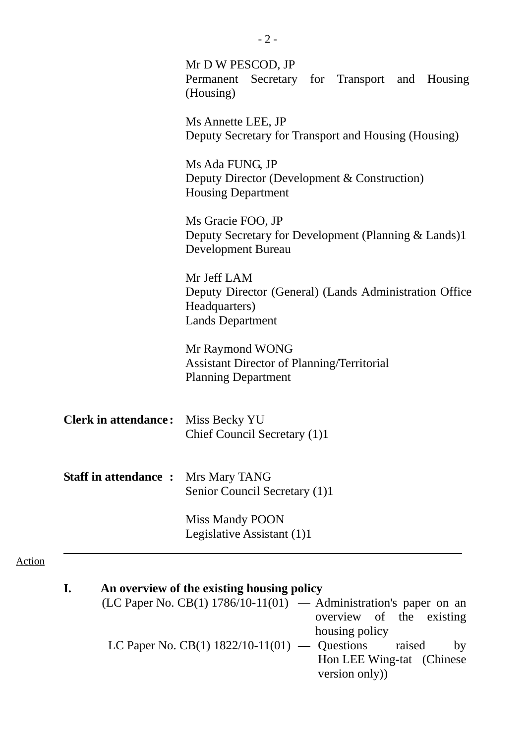|                             | Mr D W PESCOD, JP<br>Permanent Secretary for Transport and Housing<br>(Housing)<br>Ms Annette LEE, JP             |
|-----------------------------|-------------------------------------------------------------------------------------------------------------------|
|                             |                                                                                                                   |
|                             | Deputy Secretary for Transport and Housing (Housing)                                                              |
|                             | Ms Ada FUNG, JP<br>Deputy Director (Development & Construction)<br><b>Housing Department</b>                      |
|                             | Ms Gracie FOO, JP<br>Deputy Secretary for Development (Planning & Lands)1<br><b>Development Bureau</b>            |
|                             | Mr Jeff LAM<br>Deputy Director (General) (Lands Administration Office<br>Headquarters)<br><b>Lands Department</b> |
|                             | Mr Raymond WONG<br><b>Assistant Director of Planning/Territorial</b><br><b>Planning Department</b>                |
| <b>Clerk in attendance:</b> | Miss Becky YU<br>Chief Council Secretary (1)1                                                                     |
| <b>Staff in attendance:</b> | Mrs Mary TANG<br>Senior Council Secretary (1)1                                                                    |
|                             | <b>Miss Mandy POON</b><br>Legislative Assistant (1)1                                                              |

housing policy<br>Questions raised LC Paper No. CB(1)  $1822/10-11(01)$  **—** Questions raised by Hon LEE Wing-tat (Chinese version only))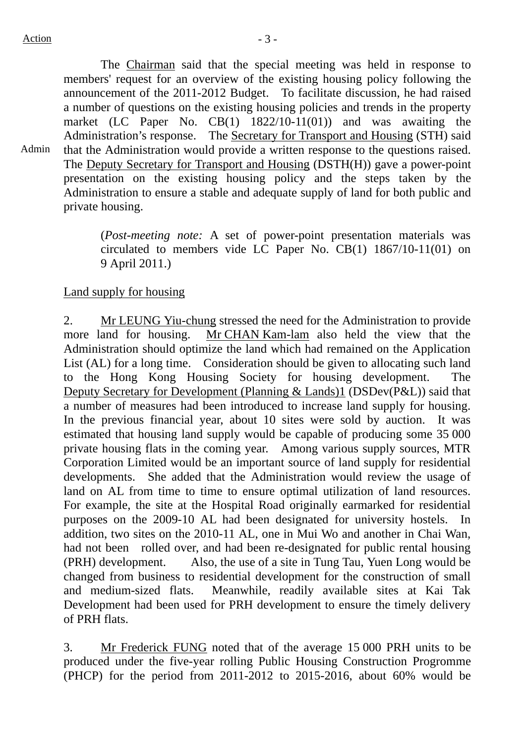Admin

 The Chairman said that the special meeting was held in response to members' request for an overview of the existing housing policy following the announcement of the 2011-2012 Budget. To facilitate discussion, he had raised a number of questions on the existing housing policies and trends in the property market (LC Paper No. CB(1) 1822/10-11(01)) and was awaiting the Administration's response. The Secretary for Transport and Housing (STH) said that the Administration would provide a written response to the questions raised. The Deputy Secretary for Transport and Housing (DSTH(H)) gave a power-point presentation on the existing housing policy and the steps taken by the Administration to ensure a stable and adequate supply of land for both public and private housing.

> (*Post-meeting note:* A set of power-point presentation materials was circulated to members vide LC Paper No. CB(1) 1867/10-11(01) on 9 April 2011.)

## Land supply for housing

2. Mr LEUNG Yiu-chung stressed the need for the Administration to provide more land for housing. Mr CHAN Kam-lam also held the view that the Administration should optimize the land which had remained on the Application List (AL) for a long time. Consideration should be given to allocating such land to the Hong Kong Housing Society for housing development. The Deputy Secretary for Development (Planning & Lands)1 (DSDev(P&L)) said that a number of measures had been introduced to increase land supply for housing. In the previous financial year, about 10 sites were sold by auction. It was estimated that housing land supply would be capable of producing some 35 000 private housing flats in the coming year. Among various supply sources, MTR Corporation Limited would be an important source of land supply for residential developments. She added that the Administration would review the usage of land on AL from time to time to ensure optimal utilization of land resources. For example, the site at the Hospital Road originally earmarked for residential purposes on the 2009-10 AL had been designated for university hostels. In addition, two sites on the 2010-11 AL, one in Mui Wo and another in Chai Wan, had not been rolled over, and had been re-designated for public rental housing (PRH) development. Also, the use of a site in Tung Tau, Yuen Long would be changed from business to residential development for the construction of small and medium-sized flats. Meanwhile, readily available sites at Kai Tak Development had been used for PRH development to ensure the timely delivery of PRH flats.

3. Mr Frederick FUNG noted that of the average 15 000 PRH units to be produced under the five-year rolling Public Housing Construction Progromme (PHCP) for the period from 2011-2012 to 2015-2016, about 60% would be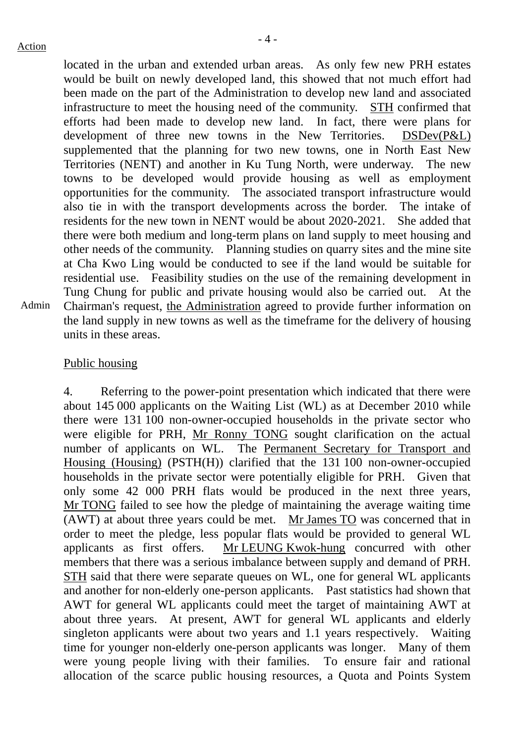Admin

located in the urban and extended urban areas. As only few new PRH estates would be built on newly developed land, this showed that not much effort had been made on the part of the Administration to develop new land and associated infrastructure to meet the housing need of the community. STH confirmed that efforts had been made to develop new land. In fact, there were plans for development of three new towns in the New Territories. DSDev(P&L) supplemented that the planning for two new towns, one in North East New Territories (NENT) and another in Ku Tung North, were underway. The new towns to be developed would provide housing as well as employment opportunities for the community. The associated transport infrastructure would also tie in with the transport developments across the border. The intake of residents for the new town in NENT would be about 2020-2021. She added that there were both medium and long-term plans on land supply to meet housing and other needs of the community. Planning studies on quarry sites and the mine site at Cha Kwo Ling would be conducted to see if the land would be suitable for residential use. Feasibility studies on the use of the remaining development in Tung Chung for public and private housing would also be carried out. At the Chairman's request, the Administration agreed to provide further information on the land supply in new towns as well as the timeframe for the delivery of housing units in these areas.

#### Public housing

4. Referring to the power-point presentation which indicated that there were about 145 000 applicants on the Waiting List (WL) as at December 2010 while there were 131 100 non-owner-occupied households in the private sector who were eligible for PRH, Mr Ronny TONG sought clarification on the actual number of applicants on WL. The Permanent Secretary for Transport and Housing (Housing) (PSTH(H)) clarified that the 131 100 non-owner-occupied households in the private sector were potentially eligible for PRH. Given that only some 42 000 PRH flats would be produced in the next three years, Mr TONG failed to see how the pledge of maintaining the average waiting time (AWT) at about three years could be met. Mr James TO was concerned that in order to meet the pledge, less popular flats would be provided to general WL applicants as first offers. Mr LEUNG Kwok-hung concurred with other members that there was a serious imbalance between supply and demand of PRH. STH said that there were separate queues on WL, one for general WL applicants and another for non-elderly one-person applicants. Past statistics had shown that AWT for general WL applicants could meet the target of maintaining AWT at about three years. At present, AWT for general WL applicants and elderly singleton applicants were about two years and 1.1 years respectively. Waiting time for younger non-elderly one-person applicants was longer. Many of them were young people living with their families. To ensure fair and rational allocation of the scarce public housing resources, a Quota and Points System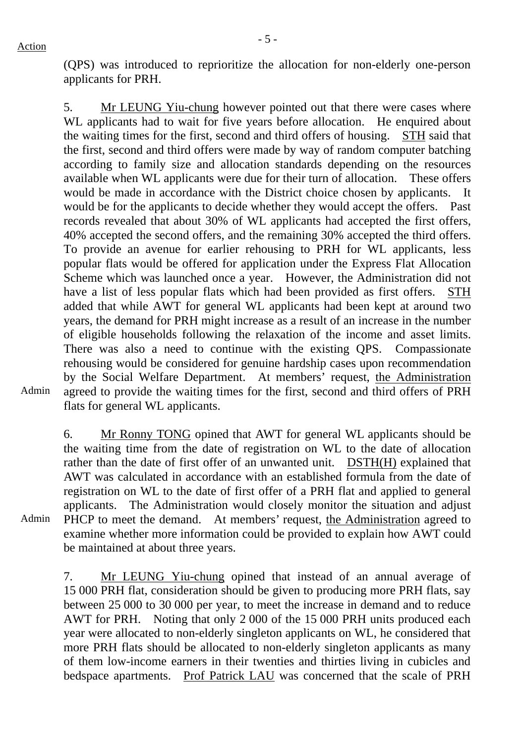(QPS) was introduced to reprioritize the allocation for non-elderly one-person applicants for PRH.

5. Mr LEUNG Yiu-chung however pointed out that there were cases where WL applicants had to wait for five years before allocation. He enquired about the waiting times for the first, second and third offers of housing. STH said that the first, second and third offers were made by way of random computer batching according to family size and allocation standards depending on the resources available when WL applicants were due for their turn of allocation. These offers would be made in accordance with the District choice chosen by applicants. It would be for the applicants to decide whether they would accept the offers. Past records revealed that about 30% of WL applicants had accepted the first offers, 40% accepted the second offers, and the remaining 30% accepted the third offers. To provide an avenue for earlier rehousing to PRH for WL applicants, less popular flats would be offered for application under the Express Flat Allocation Scheme which was launched once a year. However, the Administration did not have a list of less popular flats which had been provided as first offers. STH added that while AWT for general WL applicants had been kept at around two years, the demand for PRH might increase as a result of an increase in the number of eligible households following the relaxation of the income and asset limits. There was also a need to continue with the existing QPS. Compassionate rehousing would be considered for genuine hardship cases upon recommendation by the Social Welfare Department. At members' request, the Administration agreed to provide the waiting times for the first, second and third offers of PRH flats for general WL applicants.

Admin

Admin

6. Mr Ronny TONG opined that AWT for general WL applicants should be the waiting time from the date of registration on WL to the date of allocation rather than the date of first offer of an unwanted unit. DSTH(H) explained that AWT was calculated in accordance with an established formula from the date of registration on WL to the date of first offer of a PRH flat and applied to general applicants. The Administration would closely monitor the situation and adjust PHCP to meet the demand. At members' request, the Administration agreed to examine whether more information could be provided to explain how AWT could be maintained at about three years.

7. Mr LEUNG Yiu-chung opined that instead of an annual average of 15 000 PRH flat, consideration should be given to producing more PRH flats, say between 25 000 to 30 000 per year, to meet the increase in demand and to reduce AWT for PRH. Noting that only 2 000 of the 15 000 PRH units produced each year were allocated to non-elderly singleton applicants on WL, he considered that more PRH flats should be allocated to non-elderly singleton applicants as many of them low-income earners in their twenties and thirties living in cubicles and bedspace apartments. Prof Patrick LAU was concerned that the scale of PRH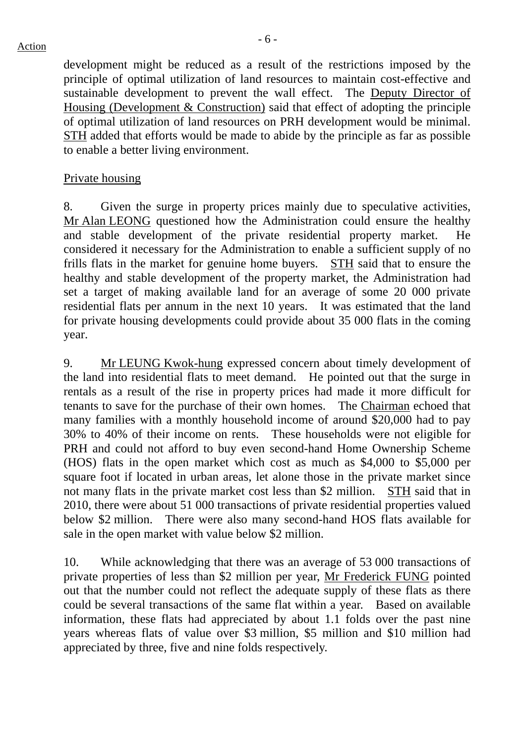development might be reduced as a result of the restrictions imposed by the principle of optimal utilization of land resources to maintain cost-effective and sustainable development to prevent the wall effect. The Deputy Director of Housing (Development & Construction) said that effect of adopting the principle of optimal utilization of land resources on PRH development would be minimal. STH added that efforts would be made to abide by the principle as far as possible to enable a better living environment.

### Private housing

8. Given the surge in property prices mainly due to speculative activities, Mr Alan LEONG questioned how the Administration could ensure the healthy and stable development of the private residential property market. He considered it necessary for the Administration to enable a sufficient supply of no frills flats in the market for genuine home buyers. STH said that to ensure the healthy and stable development of the property market, the Administration had set a target of making available land for an average of some 20 000 private residential flats per annum in the next 10 years. It was estimated that the land for private housing developments could provide about 35 000 flats in the coming year.

9. Mr LEUNG Kwok-hung expressed concern about timely development of the land into residential flats to meet demand. He pointed out that the surge in rentals as a result of the rise in property prices had made it more difficult for tenants to save for the purchase of their own homes. The Chairman echoed that many families with a monthly household income of around \$20,000 had to pay 30% to 40% of their income on rents. These households were not eligible for PRH and could not afford to buy even second-hand Home Ownership Scheme (HOS) flats in the open market which cost as much as \$4,000 to \$5,000 per square foot if located in urban areas, let alone those in the private market since not many flats in the private market cost less than \$2 million. STH said that in 2010, there were about 51 000 transactions of private residential properties valued below \$2 million. There were also many second-hand HOS flats available for sale in the open market with value below \$2 million.

10. While acknowledging that there was an average of 53 000 transactions of private properties of less than \$2 million per year, Mr Frederick FUNG pointed out that the number could not reflect the adequate supply of these flats as there could be several transactions of the same flat within a year. Based on available information, these flats had appreciated by about 1.1 folds over the past nine years whereas flats of value over \$3 million, \$5 million and \$10 million had appreciated by three, five and nine folds respectively.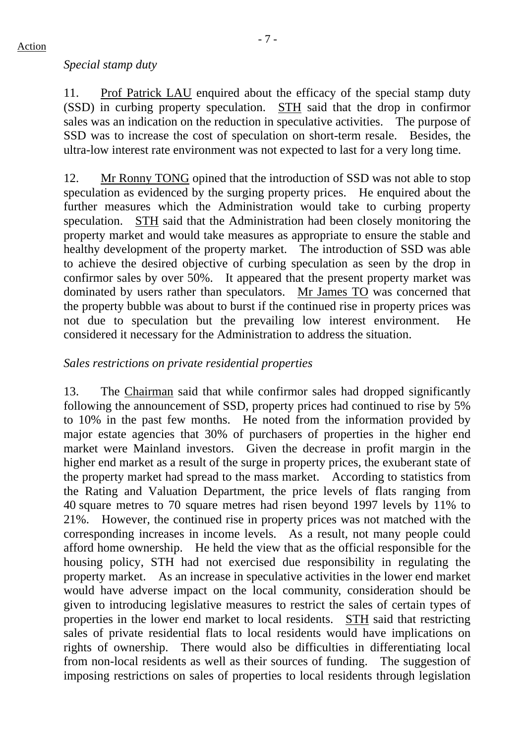### *Special stamp duty*

11. Prof Patrick LAU enquired about the efficacy of the special stamp duty (SSD) in curbing property speculation. STH said that the drop in confirmor sales was an indication on the reduction in speculative activities. The purpose of SSD was to increase the cost of speculation on short-term resale. Besides, the ultra-low interest rate environment was not expected to last for a very long time.

12. Mr Ronny TONG opined that the introduction of SSD was not able to stop speculation as evidenced by the surging property prices. He enquired about the further measures which the Administration would take to curbing property speculation. STH said that the Administration had been closely monitoring the property market and would take measures as appropriate to ensure the stable and healthy development of the property market. The introduction of SSD was able to achieve the desired objective of curbing speculation as seen by the drop in confirmor sales by over 50%. It appeared that the present property market was dominated by users rather than speculators. Mr James TO was concerned that the property bubble was about to burst if the continued rise in property prices was not due to speculation but the prevailing low interest environment. He considered it necessary for the Administration to address the situation.

## *Sales restrictions on private residential properties*

13. The Chairman said that while confirmor sales had dropped significantly following the announcement of SSD, property prices had continued to rise by 5% to 10% in the past few months. He noted from the information provided by major estate agencies that 30% of purchasers of properties in the higher end market were Mainland investors. Given the decrease in profit margin in the higher end market as a result of the surge in property prices, the exuberant state of the property market had spread to the mass market. According to statistics from the Rating and Valuation Department, the price levels of flats ranging from 40 square metres to 70 square metres had risen beyond 1997 levels by 11% to 21%. However, the continued rise in property prices was not matched with the corresponding increases in income levels. As a result, not many people could afford home ownership. He held the view that as the official responsible for the housing policy, STH had not exercised due responsibility in regulating the property market. As an increase in speculative activities in the lower end market would have adverse impact on the local community, consideration should be given to introducing legislative measures to restrict the sales of certain types of properties in the lower end market to local residents. STH said that restricting sales of private residential flats to local residents would have implications on rights of ownership. There would also be difficulties in differentiating local from non-local residents as well as their sources of funding. The suggestion of imposing restrictions on sales of properties to local residents through legislation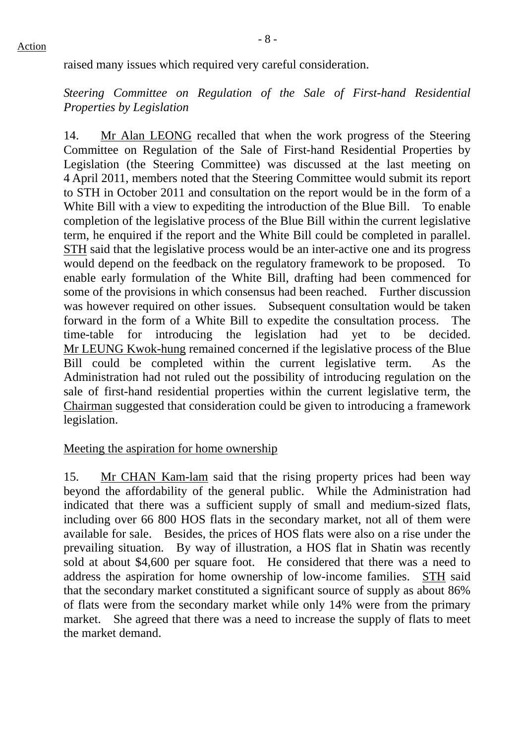raised many issues which required very careful consideration.

*Steering Committee on Regulation of the Sale of First-hand Residential Properties by Legislation* 

14. Mr Alan LEONG recalled that when the work progress of the Steering Committee on Regulation of the Sale of First-hand Residential Properties by Legislation (the Steering Committee) was discussed at the last meeting on 4 April 2011, members noted that the Steering Committee would submit its report to STH in October 2011 and consultation on the report would be in the form of a White Bill with a view to expediting the introduction of the Blue Bill. To enable completion of the legislative process of the Blue Bill within the current legislative term, he enquired if the report and the White Bill could be completed in parallel. STH said that the legislative process would be an inter-active one and its progress would depend on the feedback on the regulatory framework to be proposed. To enable early formulation of the White Bill, drafting had been commenced for some of the provisions in which consensus had been reached. Further discussion was however required on other issues. Subsequent consultation would be taken forward in the form of a White Bill to expedite the consultation process. The time-table for introducing the legislation had yet to be decided. Mr LEUNG Kwok-hung remained concerned if the legislative process of the Blue Bill could be completed within the current legislative term. As the Administration had not ruled out the possibility of introducing regulation on the sale of first-hand residential properties within the current legislative term, the Chairman suggested that consideration could be given to introducing a framework legislation.

#### Meeting the aspiration for home ownership

15. Mr CHAN Kam-lam said that the rising property prices had been way beyond the affordability of the general public. While the Administration had indicated that there was a sufficient supply of small and medium-sized flats, including over 66 800 HOS flats in the secondary market, not all of them were available for sale. Besides, the prices of HOS flats were also on a rise under the prevailing situation. By way of illustration, a HOS flat in Shatin was recently sold at about \$4,600 per square foot. He considered that there was a need to address the aspiration for home ownership of low-income families. STH said that the secondary market constituted a significant source of supply as about 86% of flats were from the secondary market while only 14% were from the primary market. She agreed that there was a need to increase the supply of flats to meet the market demand.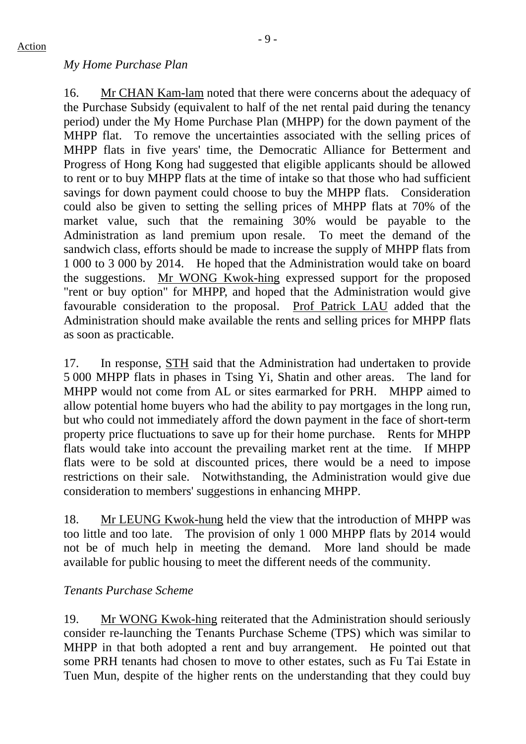## *My Home Purchase Plan*

16. Mr CHAN Kam-lam noted that there were concerns about the adequacy of the Purchase Subsidy (equivalent to half of the net rental paid during the tenancy period) under the My Home Purchase Plan (MHPP) for the down payment of the MHPP flat. To remove the uncertainties associated with the selling prices of MHPP flats in five years' time, the Democratic Alliance for Betterment and Progress of Hong Kong had suggested that eligible applicants should be allowed to rent or to buy MHPP flats at the time of intake so that those who had sufficient savings for down payment could choose to buy the MHPP flats. Consideration could also be given to setting the selling prices of MHPP flats at 70% of the market value, such that the remaining 30% would be payable to the Administration as land premium upon resale. To meet the demand of the sandwich class, efforts should be made to increase the supply of MHPP flats from 1 000 to 3 000 by 2014. He hoped that the Administration would take on board the suggestions. Mr WONG Kwok-hing expressed support for the proposed "rent or buy option" for MHPP, and hoped that the Administration would give favourable consideration to the proposal. Prof Patrick LAU added that the Administration should make available the rents and selling prices for MHPP flats as soon as practicable.

17. In response, STH said that the Administration had undertaken to provide 5 000 MHPP flats in phases in Tsing Yi, Shatin and other areas. The land for MHPP would not come from AL or sites earmarked for PRH. MHPP aimed to allow potential home buyers who had the ability to pay mortgages in the long run, but who could not immediately afford the down payment in the face of short-term property price fluctuations to save up for their home purchase. Rents for MHPP flats would take into account the prevailing market rent at the time. If MHPP flats were to be sold at discounted prices, there would be a need to impose restrictions on their sale. Notwithstanding, the Administration would give due consideration to members' suggestions in enhancing MHPP.

18. Mr LEUNG Kwok-hung held the view that the introduction of MHPP was too little and too late. The provision of only 1 000 MHPP flats by 2014 would not be of much help in meeting the demand. More land should be made available for public housing to meet the different needs of the community.

## *Tenants Purchase Scheme*

19. Mr WONG Kwok-hing reiterated that the Administration should seriously consider re-launching the Tenants Purchase Scheme (TPS) which was similar to MHPP in that both adopted a rent and buy arrangement. He pointed out that some PRH tenants had chosen to move to other estates, such as Fu Tai Estate in Tuen Mun, despite of the higher rents on the understanding that they could buy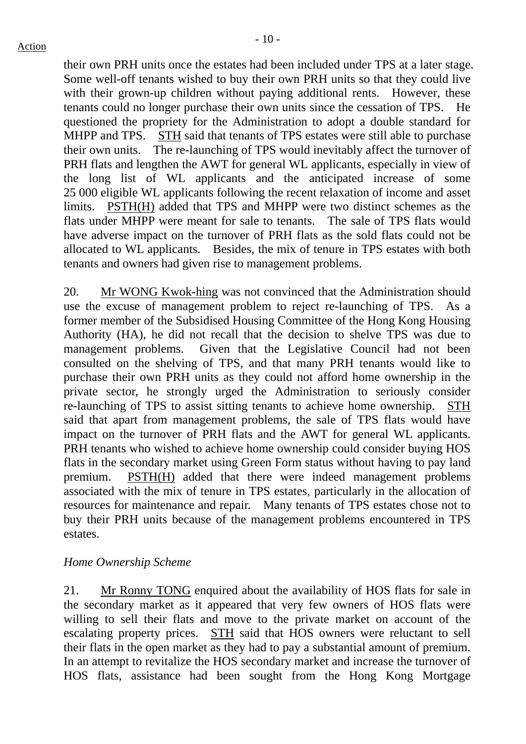their own PRH units once the estates had been included under TPS at a later stage. Some well-off tenants wished to buy their own PRH units so that they could live with their grown-up children without paying additional rents. However, these tenants could no longer purchase their own units since the cessation of TPS. He questioned the propriety for the Administration to adopt a double standard for MHPP and TPS. STH said that tenants of TPS estates were still able to purchase their own units. The re-launching of TPS would inevitably affect the turnover of PRH flats and lengthen the AWT for general WL applicants, especially in view of the long list of WL applicants and the anticipated increase of some 25 000 eligible WL applicants following the recent relaxation of income and asset limits. PSTH(H) added that TPS and MHPP were two distinct schemes as the flats under MHPP were meant for sale to tenants. The sale of TPS flats would have adverse impact on the turnover of PRH flats as the sold flats could not be allocated to WL applicants. Besides, the mix of tenure in TPS estates with both tenants and owners had given rise to management problems.

20. Mr WONG Kwok-hing was not convinced that the Administration should use the excuse of management problem to reject re-launching of TPS. As a former member of the Subsidised Housing Committee of the Hong Kong Housing Authority (HA), he did not recall that the decision to shelve TPS was due to management problems. Given that the Legislative Council had not been consulted on the shelving of TPS, and that many PRH tenants would like to purchase their own PRH units as they could not afford home ownership in the private sector, he strongly urged the Administration to seriously consider re-launching of TPS to assist sitting tenants to achieve home ownership. STH said that apart from management problems, the sale of TPS flats would have impact on the turnover of PRH flats and the AWT for general WL applicants. PRH tenants who wished to achieve home ownership could consider buying HOS flats in the secondary market using Green Form status without having to pay land premium. PSTH(H) added that there were indeed management problems associated with the mix of tenure in TPS estates, particularly in the allocation of resources for maintenance and repair. Many tenants of TPS estates chose not to buy their PRH units because of the management problems encountered in TPS estates.

## *Home Ownership Scheme*

21. Mr Ronny TONG enquired about the availability of HOS flats for sale in the secondary market as it appeared that very few owners of HOS flats were willing to sell their flats and move to the private market on account of the escalating property prices. STH said that HOS owners were reluctant to sell their flats in the open market as they had to pay a substantial amount of premium. In an attempt to revitalize the HOS secondary market and increase the turnover of HOS flats, assistance had been sought from the Hong Kong Mortgage